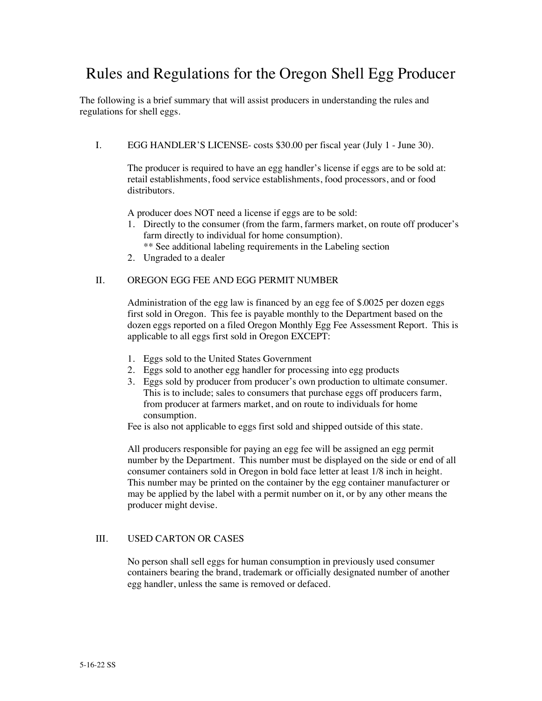# Rules and Regulations for the Oregon Shell Egg Producer

The following is a brief summary that will assist producers in understanding the rules and regulations for shell eggs.

I. EGG HANDLER'S LICENSE- costs \$30.00 per fiscal year (July 1 - June 30).

The producer is required to have an egg handler's license if eggs are to be sold at: retail establishments, food service establishments, food processors, and or food distributors.

A producer does NOT need a license if eggs are to be sold:

- 1. Directly to the consumer (from the farm, farmers market, on route off producer's farm directly to individual for home consumption).
- \*\* See additional labeling requirements in the Labeling section
- 2. Ungraded to a dealer

## II. OREGON EGG FEE AND EGG PERMIT NUMBER

Administration of the egg law is financed by an egg fee of \$.0025 per dozen eggs first sold in Oregon. This fee is payable monthly to the Department based on the dozen eggs reported on a filed Oregon Monthly Egg Fee Assessment Report. This is applicable to all eggs first sold in Oregon EXCEPT:

- 1. Eggs sold to the United States Government
- 2. Eggs sold to another egg handler for processing into egg products
- 3. Eggs sold by producer from producer's own production to ultimate consumer. This is to include; sales to consumers that purchase eggs off producers farm, from producer at farmers market, and on route to individuals for home consumption.

Fee is also not applicable to eggs first sold and shipped outside of this state.

All producers responsible for paying an egg fee will be assigned an egg permit number by the Department. This number must be displayed on the side or end of all consumer containers sold in Oregon in bold face letter at least 1/8 inch in height. This number may be printed on the container by the egg container manufacturer or may be applied by the label with a permit number on it, or by any other means the producer might devise.

## III. USED CARTON OR CASES

No person shall sell eggs for human consumption in previously used consumer containers bearing the brand, trademark or officially designated number of another egg handler, unless the same is removed or defaced.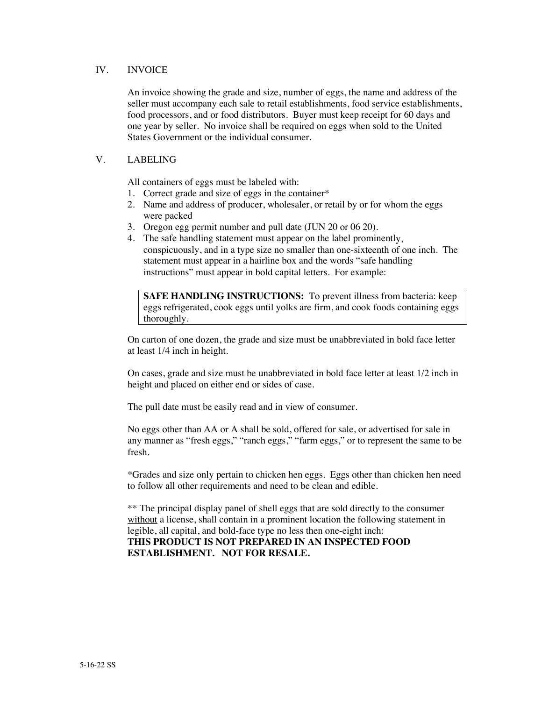#### IV. INVOICE

An invoice showing the grade and size, number of eggs, the name and address of the seller must accompany each sale to retail establishments, food service establishments, food processors, and or food distributors. Buyer must keep receipt for 60 days and one year by seller. No invoice shall be required on eggs when sold to the United States Government or the individual consumer.

## V. LABELING

All containers of eggs must be labeled with:

- 1. Correct grade and size of eggs in the container\*
- 2. Name and address of producer, wholesaler, or retail by or for whom the eggs were packed
- 3. Oregon egg permit number and pull date (JUN 20 or 06 20).
- 4. The safe handling statement must appear on the label prominently, conspicuously, and in a type size no smaller than one-sixteenth of one inch. The statement must appear in a hairline box and the words "safe handling instructions" must appear in bold capital letters. For example:

**SAFE HANDLING INSTRUCTIONS:** To prevent illness from bacteria: keep eggs refrigerated, cook eggs until yolks are firm, and cook foods containing eggs thoroughly.

On carton of one dozen, the grade and size must be unabbreviated in bold face letter at least 1/4 inch in height.

On cases, grade and size must be unabbreviated in bold face letter at least 1/2 inch in height and placed on either end or sides of case.

The pull date must be easily read and in view of consumer.

No eggs other than AA or A shall be sold, offered for sale, or advertised for sale in any manner as "fresh eggs," "ranch eggs," "farm eggs," or to represent the same to be fresh.

\*Grades and size only pertain to chicken hen eggs. Eggs other than chicken hen need to follow all other requirements and need to be clean and edible.

\*\* The principal display panel of shell eggs that are sold directly to the consumer without a license, shall contain in a prominent location the following statement in legible, all capital, and bold-face type no less then one-eight inch: **THIS PRODUCT IS NOT PREPARED IN AN INSPECTED FOOD** 

**ESTABLISHMENT. NOT FOR RESALE.**